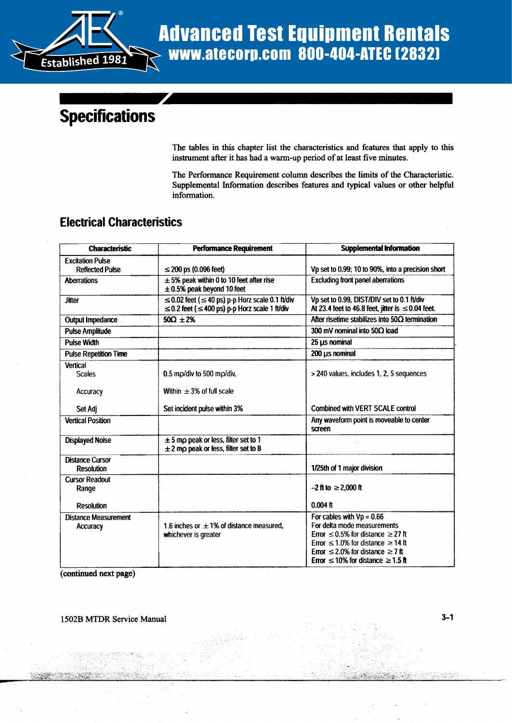

# Advanced Test Equipment Rentals www.atecorp.com 800-404-ATEC (2832)

## **Specifications**

The tables in this chapter list the characteristics and features that apply to this instrument after it has had a warm-up period of at least five minutes .

The Performance Requirement column describes the limits of the Characteristic . Supplemental Information describes features and typical values or other helpful information.

#### Electrical Characteristics

| <b>Characteristic</b>                          | <b>Performance Requirement</b>                                                                                         | <b>Supplemental Information</b>                                                                                                                                                                                                                         |
|------------------------------------------------|------------------------------------------------------------------------------------------------------------------------|---------------------------------------------------------------------------------------------------------------------------------------------------------------------------------------------------------------------------------------------------------|
| <b>Excitation Pulse</b>                        |                                                                                                                        |                                                                                                                                                                                                                                                         |
| <b>Reflected Pulse</b>                         | $\leq$ 200 ps (0.096 feet)                                                                                             | Vp set to 0.99; 10 to 90%, into a precision short                                                                                                                                                                                                       |
| <b>Aberrations</b>                             | $\pm$ 5% peak within 0 to 10 feet after rise<br>$\pm$ 0.5% peak beyond 10 feet                                         | <b>Excluding front panel aberrations</b>                                                                                                                                                                                                                |
| <b>Jitter</b>                                  | $\leq$ 0.02 feet ( $\leq$ 40 ps) p-p Horz scale 0.1 ft/div<br>$\leq$ 0.2 feet ( $\leq$ 400 ps) p-p Horz scale 1 ft/div | Vp set to 0.99, DIST/DIV set to 0.1 ft/div<br>At 23.4 feet to 46.8 feet, jitter is $\leq$ 0.04 feet.                                                                                                                                                    |
| <b>Output Impedance</b>                        | $50\Omega \pm 2\%$                                                                                                     | After risetime stabilizes into $50\Omega$ termination                                                                                                                                                                                                   |
| <b>Pulse Amplitude</b>                         |                                                                                                                        | 300 mV nominal into 50 $\Omega$ load                                                                                                                                                                                                                    |
| <b>Pulse Width</b>                             |                                                                                                                        | 25 µs nominal                                                                                                                                                                                                                                           |
| <b>Pulse Repetition Time</b>                   |                                                                                                                        | 200 µs nominal                                                                                                                                                                                                                                          |
| <b>Vertical</b><br><b>Scales</b>               | $0.5$ mp/div to 500 mp/div,                                                                                            | > 240 values, includes 1, 2, 5 sequences                                                                                                                                                                                                                |
| Accuracy                                       | Within $\pm$ 3% of full scale                                                                                          |                                                                                                                                                                                                                                                         |
| Set Adj                                        | Set incident pulse within 3%                                                                                           | <b>Combined with VERT SCALE control</b>                                                                                                                                                                                                                 |
| <b>Vertical Position</b>                       |                                                                                                                        | Any waveform point is moveable to center<br>screen                                                                                                                                                                                                      |
| <b>Displayed Noise</b>                         | $\pm$ 5 mp peak or less, filter set to 1<br>$\pm$ 2 mp peak or less, filter set to 8                                   |                                                                                                                                                                                                                                                         |
| <b>Distance Cursor</b><br><b>Resolution</b>    |                                                                                                                        | 1/25th of 1 major division                                                                                                                                                                                                                              |
| <b>Cursor Readout</b><br>Range                 |                                                                                                                        | $-2$ ft to $\geq 2,000$ ft                                                                                                                                                                                                                              |
| <b>Resolution</b>                              |                                                                                                                        | $0.004$ ft                                                                                                                                                                                                                                              |
| <b>Distance Measurement</b><br><b>Accuracy</b> | 1.6 inches or $\pm$ 1% of distance measured.<br>whichever is greater                                                   | For cables with $Vp = 0.66$<br>For delta mode measurements<br>Error $\leq$ 0.5% for distance $\geq$ 27 ft<br>Error $\leq 1.0\%$ for distance $\geq 14$ ft<br>Error $\leq$ 2.0% for distance $\geq$ 7 ft<br>Error $\leq 10\%$ for distance $\geq 1.5$ ft |

(continued next page)

1502B MTDR Service Manual 3-1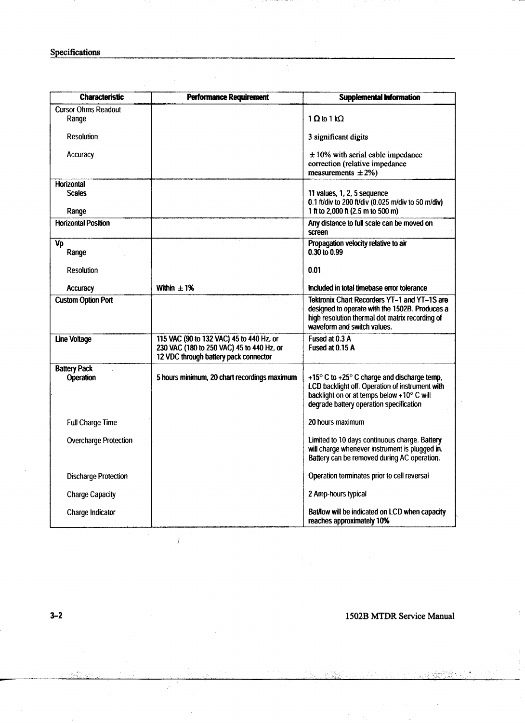| <b>Characteristic</b>       | <b>Performance Requirement</b>                                                        | <b>Supplemental Information</b>                                                                                                                                                                           |
|-----------------------------|---------------------------------------------------------------------------------------|-----------------------------------------------------------------------------------------------------------------------------------------------------------------------------------------------------------|
| <b>Cursor Ohms Readout</b>  |                                                                                       | 1 $\Omega$ to 1 k $\Omega$                                                                                                                                                                                |
| Range                       |                                                                                       |                                                                                                                                                                                                           |
| Resolution                  |                                                                                       | 3 significant digits                                                                                                                                                                                      |
| Accuracy                    |                                                                                       | $\pm$ 10% with serial cable impedance<br>correction (relative impedance                                                                                                                                   |
|                             |                                                                                       | measurements $\pm 2\%$ )                                                                                                                                                                                  |
| <b>Horizontal</b>           |                                                                                       |                                                                                                                                                                                                           |
| <b>Scales</b>               |                                                                                       | 11 values, 1, 2, 5 sequence<br>0.1 ft/div to 200 ft/div (0.025 m/div to 50 m/div)                                                                                                                         |
| Range                       |                                                                                       | 1 ft to 2,000 ft (2.5 m to 500 m)                                                                                                                                                                         |
| <b>Horizontal Position</b>  |                                                                                       | Any distance to full scale can be moved on<br>screen                                                                                                                                                      |
| Vp<br>Range                 |                                                                                       | Propagation velocity relative to air<br>0.30 to 0.99                                                                                                                                                      |
| <b>Resolution</b>           |                                                                                       | 0.01                                                                                                                                                                                                      |
| Accuracy                    | Within $\pm$ 1%                                                                       | Included in total timebase error tolerance                                                                                                                                                                |
| <b>Custom Option Port</b>   |                                                                                       | Tektronix Chart Recorders YT-1 and YT-1S are<br>designed to operate with the 1502B. Produces a<br>high resolution thermal dot matrix recording of<br>waveform and switch values.                          |
| <b>Line Voltage</b>         | 115 VAC (90 to 132 VAC) 45 to 440 Hz, or<br>230 VAC (180 to 250 VAC) 45 to 440 Hz, or | Fused at 0.3 A<br>Fused at 0.15 A                                                                                                                                                                         |
|                             | 12 VDC through battery pack connector                                                 |                                                                                                                                                                                                           |
| <b>Battery Pack</b>         |                                                                                       |                                                                                                                                                                                                           |
| Operation                   | 5 hours minimum, 20 chart recordings maximum                                          | +15 $\degree$ C to +25 $\degree$ C charge and discharge temp,<br>LCD backlight off. Operation of instrument with<br>backlight on or at temps below +10° C will<br>degrade battery operation specification |
| Full Charge Time            |                                                                                       | 20 hours maximum                                                                                                                                                                                          |
| Overcharge Protection       |                                                                                       | Limited to 10 days continuous charge. Battery<br>will charge whenever instrument is plugged in.<br>Battery can be removed during AC operation.                                                            |
| <b>Discharge Protection</b> |                                                                                       | Operation terminates prior to cell reversal                                                                                                                                                               |
| <b>Charge Capacity</b>      |                                                                                       | 2 Amp-hours typical                                                                                                                                                                                       |
| Charge Indicator            |                                                                                       | Bat/low will be indicated on LCD when capacity<br>reaches approximately 10%                                                                                                                               |

 $\hat{\boldsymbol{\beta}}$ 

 $\mathbf{r}$ 

 $\vec{r}$ 

3-2 1502B MTDR Service Manual

 $\mathcal{L}$ 

 $\hat{\mathcal{L}}_0$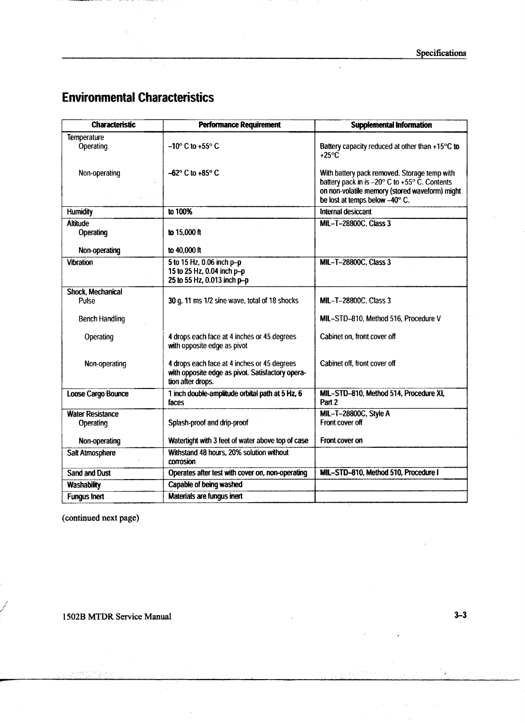$\ddot{\phantom{a}}$ 

### Environmental Characteristics

 $\epsilon$ 

| <b>Characteristic</b>           | <b>Performance Requirement</b>                                                                                       | <b>Supplemental Information</b>                                                                                                                               |
|---------------------------------|----------------------------------------------------------------------------------------------------------------------|---------------------------------------------------------------------------------------------------------------------------------------------------------------|
| <b>Temperature</b><br>Operating | $-10^{\circ}$ C to +55 $^{\circ}$ C                                                                                  | Battery capacity reduced at other than +15°C to<br>$+25^{\circ}$ C                                                                                            |
| Non-operating                   | $-62^{\circ}$ C to $+85^{\circ}$ C                                                                                   | With battery pack removed. Storage temp with<br>battery pack in is $-20^\circ$ C to $+55^\circ$ C. Contents<br>on non-volatile memory (stored waveform) might |
|                                 |                                                                                                                      | be lost at temps below -40° C.                                                                                                                                |
| <b>Humidity</b>                 | to 100%                                                                                                              | Internal desiccant                                                                                                                                            |
| <b>Altitude</b><br>Operating    | to 15.000 ft                                                                                                         | MIL-T-28800C, Class 3                                                                                                                                         |
| Non-operating                   | to 40,000 ft                                                                                                         |                                                                                                                                                               |
| <b>Vibration</b>                | 5 to 15 Hz, 0.06 inch p-p<br>15 to 25 Hz, 0.04 inch p-p<br>25 to 55 Hz, 0.013 inch p-p                               | MIL-T-28800C, Class 3                                                                                                                                         |
| <b>Shock, Mechanical</b>        |                                                                                                                      |                                                                                                                                                               |
| Pulse                           | 30 g, 11 ms 1/2 sine wave, total of 18 shocks                                                                        | MIL-T-28800C, Class 3                                                                                                                                         |
| <b>Bench Handling</b>           |                                                                                                                      | MIL-STD-810, Method 516, Procedure V                                                                                                                          |
| Operating                       | 4 drops each face at 4 inches or 45 degrees<br>with opposite edge as pivot                                           | Cabinet on, front cover off                                                                                                                                   |
| Non-operating                   | 4 drops each face at 4 inches or 45 degrees<br>with opposite edge as pivot. Satisfactory opera-<br>tion after drops. | Cabinet off, front cover off                                                                                                                                  |
| Loose Cargo Bounce              | 1 inch double-amplitude orbital path at 5 Hz, 6<br>faces                                                             | MIL-STD-810, Method 514, Procedure XI,<br>Part 2                                                                                                              |
| <b>Water Resistance</b>         |                                                                                                                      | MIL-T-28800C, Style A                                                                                                                                         |
| Operating                       | Splash-proof and drip-proof                                                                                          | Front cover off                                                                                                                                               |
| Non-operating                   | Watertight with 3 feet of water above top of case                                                                    | Front cover on                                                                                                                                                |
| Salt Atmosphere                 | Withstand 48 hours, 20% solution without<br>corrosion                                                                |                                                                                                                                                               |
| <b>Sand and Dust</b>            | Operates after test with cover on, non-operating                                                                     | MIL-STD-810, Method 510, Procedure I                                                                                                                          |
| <b>Washability</b>              | Capable of being washed                                                                                              |                                                                                                                                                               |
| <b>Fungus Inert</b>             | Materials are fungus inert                                                                                           |                                                                                                                                                               |

(continued next page)

1502B MTDR Service Manual

الأمريك

 $3 - 3$ 

 $\tilde{\varepsilon}$